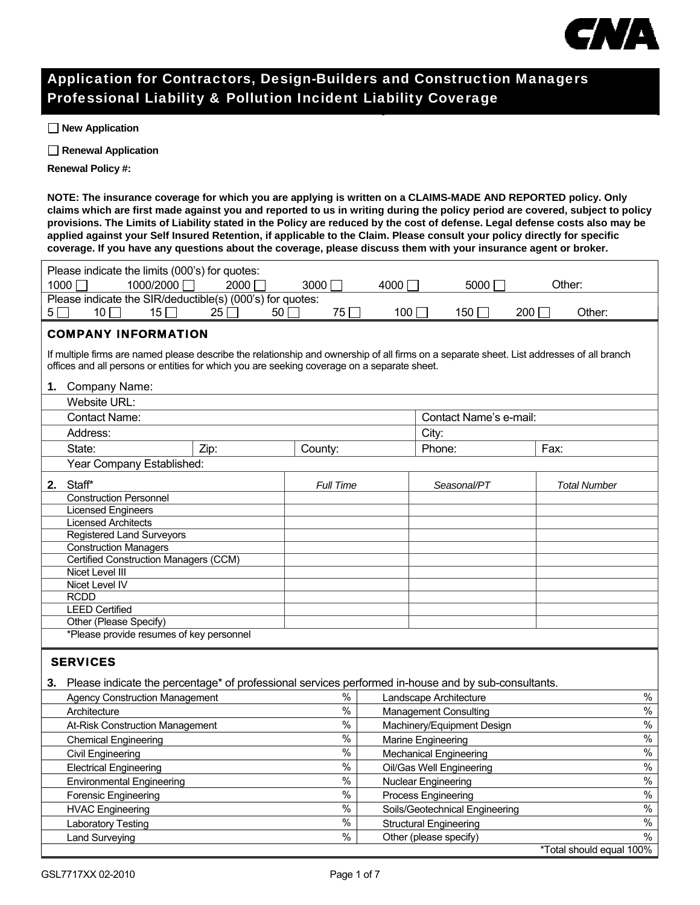

## Application for Contractors, Design-Builders and Construction Managers Professional Liability & Pollution Incident Liability Coverage

 **New Application** 

 **Renewal Application** 

**Renewal Policy #:** 

**NOTE: The insurance coverage for which you are applying is written on a CLAIMS-MADE AND REPORTED policy. Only claims which are first made against you and reported to us in writing during the policy period are covered, subject to policy provisions. The Limits of Liability stated in the Policy are reduced by the cost of defense. Legal defense costs also may be applied against your Self Insured Retention, if applicable to the Claim. Please consult your policy directly for specific coverage. If you have any questions about the coverage, please discuss them with your insurance agent or broker.** 

| Please indicate the limits (000's) for quotes:                                                                                            |                  |      |                                |                          |
|-------------------------------------------------------------------------------------------------------------------------------------------|------------------|------|--------------------------------|--------------------------|
| 1000/2000<br>1000<br>$\blacksquare$                                                                                                       | 2000<br>3000     | 4000 | 5000                           | Other:                   |
| Please indicate the SIR/deductible(s) (000's) for quotes:                                                                                 |                  |      |                                |                          |
| 10 $\overline{1}$<br>15<br>$25\lceil$<br>$5\Box$                                                                                          | 50<br>75         | 100  | 150                            | 200<br>Other:            |
| <b>COMPANY INFORMATION</b>                                                                                                                |                  |      |                                |                          |
| If multiple firms are named please describe the relationship and ownership of all firms on a separate sheet. List addresses of all branch |                  |      |                                |                          |
| offices and all persons or entities for which you are seeking coverage on a separate sheet.                                               |                  |      |                                |                          |
| 1. Company Name:                                                                                                                          |                  |      |                                |                          |
| Website URL:                                                                                                                              |                  |      |                                |                          |
| <b>Contact Name:</b>                                                                                                                      |                  |      | Contact Name's e-mail:         |                          |
| Address:                                                                                                                                  |                  |      | City:                          |                          |
| State:<br>Zip:                                                                                                                            | County:          |      | Phone:                         | Fax:                     |
|                                                                                                                                           |                  |      |                                |                          |
| Year Company Established:                                                                                                                 |                  |      |                                |                          |
| 2. Staff*                                                                                                                                 | <b>Full Time</b> |      | Seasonal/PT                    | <b>Total Number</b>      |
| <b>Construction Personnel</b>                                                                                                             |                  |      |                                |                          |
| <b>Licensed Engineers</b>                                                                                                                 |                  |      |                                |                          |
| <b>Licensed Architects</b><br><b>Registered Land Surveyors</b>                                                                            |                  |      |                                |                          |
| <b>Construction Managers</b>                                                                                                              |                  |      |                                |                          |
| Certified Construction Managers (CCM)                                                                                                     |                  |      |                                |                          |
| <b>Nicet Level III</b>                                                                                                                    |                  |      |                                |                          |
| <b>Nicet Level IV</b>                                                                                                                     |                  |      |                                |                          |
| <b>RCDD</b>                                                                                                                               |                  |      |                                |                          |
| <b>LEED Certified</b>                                                                                                                     |                  |      |                                |                          |
| Other (Please Specify)                                                                                                                    |                  |      |                                |                          |
| *Please provide resumes of key personnel                                                                                                  |                  |      |                                |                          |
| <b>SERVICES</b>                                                                                                                           |                  |      |                                |                          |
|                                                                                                                                           |                  |      |                                |                          |
| 3. Please indicate the percentage* of professional services performed in-house and by sub-consultants.                                    |                  |      |                                |                          |
| <b>Agency Construction Management</b>                                                                                                     | $\%$             |      | Landscape Architecture         | $\%$                     |
| Architecture                                                                                                                              | $\frac{9}{6}$    |      | <b>Management Consulting</b>   | $\%$                     |
| At-Risk Construction Management                                                                                                           | $\%$             |      | Machinery/Equipment Design     | $\%$                     |
| <b>Chemical Engineering</b>                                                                                                               | $\%$             |      | Marine Engineering             | $\frac{1}{2}$            |
| <b>Civil Engineering</b>                                                                                                                  | $\%$             |      | <b>Mechanical Engineering</b>  | $\%$                     |
| <b>Electrical Engineering</b>                                                                                                             | $\frac{0}{0}$    |      | Oil/Gas Well Engineering       | $\%$                     |
| <b>Environmental Engineering</b>                                                                                                          | $\%$             |      | Nuclear Engineering            | $\%$                     |
| <b>Forensic Engineering</b>                                                                                                               | $\frac{0}{0}$    |      | Process Engineering            | $\frac{9}{6}$            |
| <b>HVAC Engineering</b>                                                                                                                   | $\frac{1}{2}$    |      | Soils/Geotechnical Engineering | $\frac{9}{6}$            |
| Laboratory Testing                                                                                                                        | $\%$             |      | <b>Structural Engineering</b>  | $\frac{0}{0}$            |
| <b>Land Surveying</b>                                                                                                                     | $\%$             |      | Other (please specify)         | $\%$                     |
|                                                                                                                                           |                  |      |                                | *Total should equal 100% |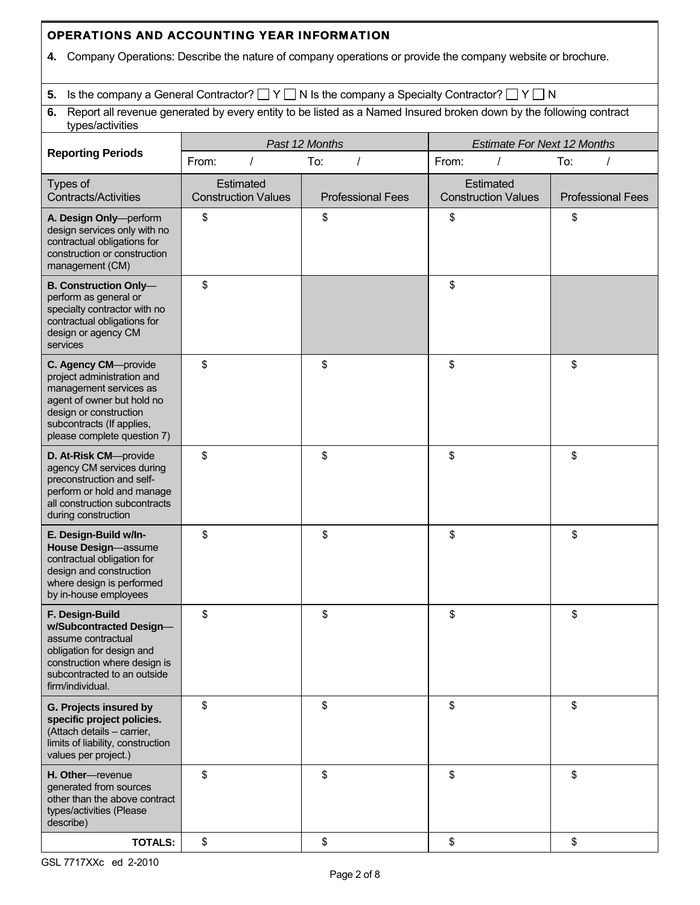## **4.** Company Operations: Describe the nature of company operations or provide the company website or brochure. **5.** Is the company a General Contractor?  $\Box Y \Box N$  Is the company a Specialty Contractor?  $\Box Y \Box N$ **6.** Report all revenue generated by every entity to be listed as a Named Insured broken down by the following contract types/activities **Reporting Periods**  *Past 12 Months Estimate For Next 12 Months*  From: / To: / From: / To: / Types of Contracts/Activities **Estimated** Construction Values | Professional Fees **Estimated** Construction Values | Professional Fees **A. Design Only**—perform design services only with no contractual obligations for construction or construction management (CM) \$ \$ \$ \$ **B. Construction Only** perform as general or specialty contractor with no contractual obligations for design or agency CM services  $\sim$  5  $\sim$  5  $\sim$  5  $\sim$  5  $\sim$  5  $\sim$  5  $\sim$ **C. Agency CM**—provide project administration and management services as agent of owner but hold no design or construction subcontracts (If applies, please complete question 7) \$ \$ | \$ | \$ | \$ **D. At-Risk CM**—provide agency CM services during preconstruction and selfperform or hold and manage all construction subcontracts during construction \$ \$ | \$ | \$ | \$ **E. Design-Build w/In-House Design**—assume contractual obligation for design and construction where design is performed by in-house employees \$ \$ \$ \$ **F. Design-Build w/Subcontracted Design** assume contractual obligation for design and construction where design is subcontracted to an outside firm/individual. \$ \$ \$ \$ **G. Projects insured by specific project policies.**  (Attach details – carrier, limits of liability, construction values per project.) \$ \$ | \$ | \$ | \$ **H. Other**—revenue generated from sources other than the above contract types/activities (Please describe) \$ \$ \$ \$

OPERATIONS AND ACCOUNTING YEAR INFORMATION

**TOTALS:** | \$ \$ | \$ \$ | \$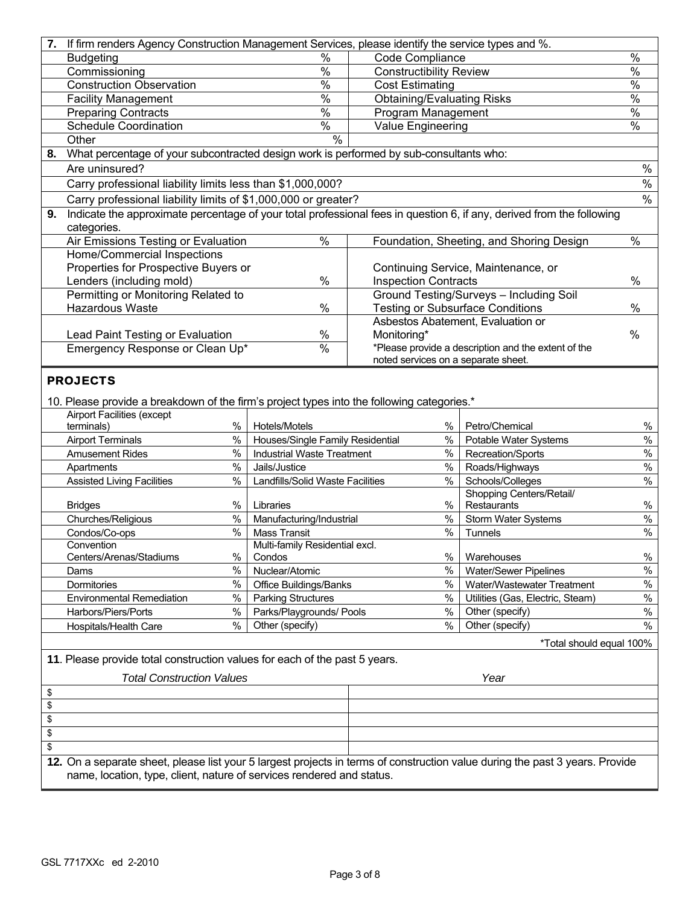| 7. | If firm renders Agency Construction Management Services, please identify the service types and %.                            |                                  |                                                       |                                   |               |                                                                                                                       |               |  |
|----|------------------------------------------------------------------------------------------------------------------------------|----------------------------------|-------------------------------------------------------|-----------------------------------|---------------|-----------------------------------------------------------------------------------------------------------------------|---------------|--|
|    | <b>Budgeting</b>                                                                                                             | $\frac{1}{2}$<br>Code Compliance |                                                       |                                   |               | $\%$                                                                                                                  |               |  |
|    | Commissioning                                                                                                                |                                  | $\frac{0}{6}$                                         | <b>Constructibility Review</b>    |               |                                                                                                                       | $\frac{0}{6}$ |  |
|    | $\frac{0}{6}$<br><b>Construction Observation</b><br><b>Cost Estimating</b>                                                   |                                  |                                                       |                                   | $\frac{0}{6}$ |                                                                                                                       |               |  |
|    | $\frac{0}{6}$<br><b>Facility Management</b>                                                                                  |                                  |                                                       | <b>Obtaining/Evaluating Risks</b> |               |                                                                                                                       | $\frac{0}{0}$ |  |
|    | <b>Preparing Contracts</b>                                                                                                   |                                  | $\frac{0}{6}$                                         | Program Management                |               |                                                                                                                       | $\frac{0}{6}$ |  |
|    | <b>Schedule Coordination</b>                                                                                                 |                                  | $\frac{1}{2}$                                         | Value Engineering                 |               |                                                                                                                       | $\frac{0}{6}$ |  |
|    | Other                                                                                                                        |                                  | $\frac{1}{2}$                                         |                                   |               |                                                                                                                       |               |  |
| 8. | What percentage of your subcontracted design work is performed by sub-consultants who:                                       |                                  |                                                       |                                   |               |                                                                                                                       |               |  |
|    | Are uninsured?                                                                                                               |                                  |                                                       |                                   |               |                                                                                                                       | $\%$          |  |
|    | Carry professional liability limits less than \$1,000,000?                                                                   |                                  |                                                       |                                   |               |                                                                                                                       | $\%$          |  |
|    | Carry professional liability limits of \$1,000,000 or greater?                                                               |                                  |                                                       |                                   |               |                                                                                                                       | $\frac{0}{0}$ |  |
| 9. |                                                                                                                              |                                  |                                                       |                                   |               | Indicate the approximate percentage of your total professional fees in question 6, if any, derived from the following |               |  |
|    | categories.                                                                                                                  |                                  |                                                       |                                   |               |                                                                                                                       |               |  |
|    | Air Emissions Testing or Evaluation                                                                                          |                                  | $\frac{1}{2}$                                         |                                   |               | Foundation, Sheeting, and Shoring Design                                                                              | $\frac{8}{6}$ |  |
|    | Home/Commercial Inspections                                                                                                  |                                  |                                                       |                                   |               |                                                                                                                       |               |  |
|    | Properties for Prospective Buyers or                                                                                         |                                  |                                                       |                                   |               | Continuing Service, Maintenance, or                                                                                   |               |  |
|    | Lenders (including mold)                                                                                                     |                                  | %                                                     | <b>Inspection Contracts</b>       |               |                                                                                                                       | %             |  |
|    | Permitting or Monitoring Related to                                                                                          |                                  |                                                       |                                   |               | Ground Testing/Surveys - Including Soil                                                                               |               |  |
|    | <b>Hazardous Waste</b>                                                                                                       |                                  | %                                                     |                                   |               | <b>Testing or Subsurface Conditions</b>                                                                               | %             |  |
|    |                                                                                                                              |                                  |                                                       |                                   |               | Asbestos Abatement, Evaluation or                                                                                     |               |  |
|    | Lead Paint Testing or Evaluation                                                                                             |                                  | $\%$                                                  | Monitoring*                       |               |                                                                                                                       | %             |  |
|    | Emergency Response or Clean Up*                                                                                              |                                  | $\%$                                                  |                                   |               | *Please provide a description and the extent of the<br>noted services on a separate sheet.                            |               |  |
|    |                                                                                                                              |                                  |                                                       |                                   |               |                                                                                                                       |               |  |
|    | <b>PROJECTS</b>                                                                                                              |                                  |                                                       |                                   |               |                                                                                                                       |               |  |
|    | 10. Please provide a breakdown of the firm's project types into the following categories.*                                   |                                  |                                                       |                                   |               |                                                                                                                       |               |  |
|    | <b>Airport Facilities (except</b>                                                                                            |                                  |                                                       |                                   |               |                                                                                                                       |               |  |
|    | terminals)                                                                                                                   | %                                | Hotels/Motels                                         |                                   | %             | Petro/Chemical                                                                                                        | $\%$          |  |
|    | <b>Airport Terminals</b>                                                                                                     | $\%$                             | Houses/Single Family Residential                      |                                   | $\%$          | Potable Water Systems                                                                                                 | $\%$          |  |
|    | <b>Amusement Rides</b>                                                                                                       | $\%$                             | <b>Industrial Waste Treatment</b>                     |                                   | $\%$          | Recreation/Sports                                                                                                     | $\%$          |  |
|    | Apartments                                                                                                                   | $\%$                             | Jails/Justice                                         |                                   | $\%$          | Roads/Highways                                                                                                        | $\%$          |  |
|    | <b>Assisted Living Facilities</b>                                                                                            | $\%$                             | Landfills/Solid Waste Facilities                      |                                   | $\%$          | Schools/Colleges                                                                                                      | $\%$          |  |
|    |                                                                                                                              |                                  |                                                       |                                   |               | Shopping Centers/Retail/                                                                                              |               |  |
|    | <b>Bridges</b>                                                                                                               | %                                | Libraries                                             |                                   | $\%$          | Restaurants                                                                                                           | $\%$          |  |
|    | Churches/Religious                                                                                                           | $\%$                             | Manufacturing/Industrial                              |                                   | %             | Storm Water Systems                                                                                                   | $\%$          |  |
|    | Condos/Co-ops                                                                                                                | $\%$                             | <b>Mass Transit</b>                                   |                                   | %             | Tunnels                                                                                                               | $\%$          |  |
|    | Convention                                                                                                                   | %                                | Multi-family Residential excl.                        |                                   | $\%$          |                                                                                                                       |               |  |
|    | Centers/Arenas/Stadiums                                                                                                      | $\frac{0}{0}$                    | Condos                                                |                                   | $\%$          | Warehouses                                                                                                            | %<br>$\%$     |  |
|    | Dams                                                                                                                         | $\%$                             | Nuclear/Atomic                                        |                                   | $\%$          | <b>Water/Sewer Pipelines</b>                                                                                          | $\%$          |  |
|    | Dormitories                                                                                                                  | $\%$                             | Office Buildings/Banks                                |                                   | $\%$          | Water/Wastewater Treatment                                                                                            | $\%$          |  |
|    | <b>Environmental Remediation</b><br>Harbors/Piers/Ports                                                                      | $\%$                             | <b>Parking Structures</b><br>Parks/Playgrounds/ Pools |                                   | $\%$          | Utilities (Gas, Electric, Steam)<br>Other (specify)                                                                   | $\%$          |  |
|    | Hospitals/Health Care                                                                                                        | $\%$                             | Other (specify)                                       |                                   | $\%$          | Other (specify)                                                                                                       | $\%$          |  |
|    |                                                                                                                              |                                  |                                                       |                                   |               |                                                                                                                       |               |  |
|    |                                                                                                                              |                                  |                                                       |                                   |               | *Total should equal 100%                                                                                              |               |  |
|    | 11. Please provide total construction values for each of the past 5 years.                                                   |                                  |                                                       |                                   |               |                                                                                                                       |               |  |
|    | <b>Total Construction Values</b>                                                                                             |                                  |                                                       |                                   |               | Year                                                                                                                  |               |  |
| \$ |                                                                                                                              |                                  |                                                       |                                   |               |                                                                                                                       |               |  |
| \$ |                                                                                                                              |                                  |                                                       |                                   |               |                                                                                                                       |               |  |
| \$ |                                                                                                                              |                                  |                                                       |                                   |               |                                                                                                                       |               |  |
| \$ |                                                                                                                              |                                  |                                                       |                                   |               |                                                                                                                       |               |  |
| \$ |                                                                                                                              |                                  |                                                       |                                   |               |                                                                                                                       |               |  |
|    | 12. On a separate sheet, please list your 5 largest projects in terms of construction value during the past 3 years. Provide |                                  |                                                       |                                   |               |                                                                                                                       |               |  |
|    | name, location, type, client, nature of services rendered and status.                                                        |                                  |                                                       |                                   |               |                                                                                                                       |               |  |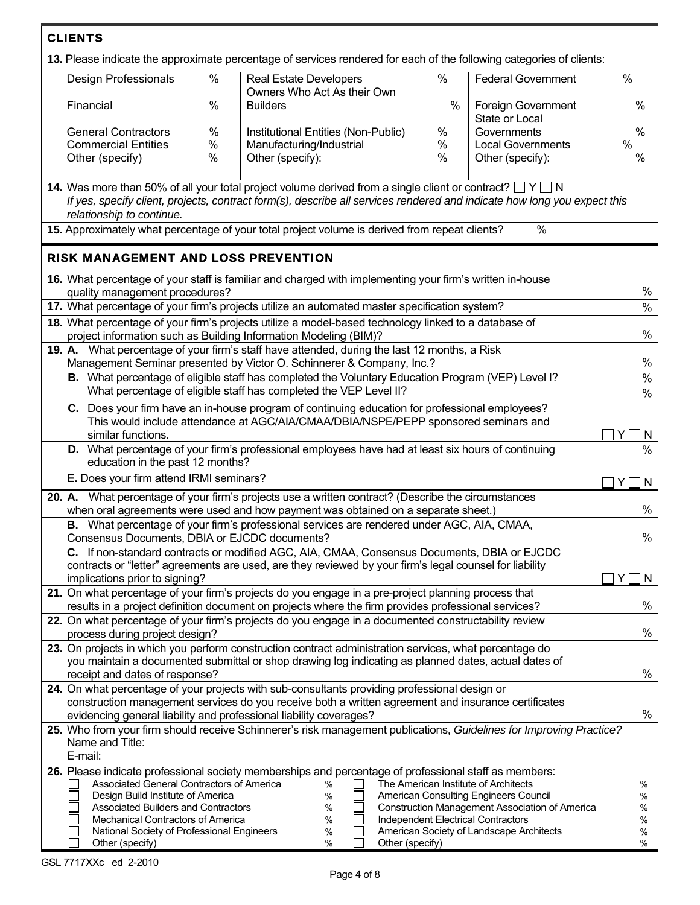| <b>CLIENTS</b>                                        |                                                                                                                                                                                                                                                                             |                         |                                                              |                 |           |                                                                                                                      |                     |  |  |
|-------------------------------------------------------|-----------------------------------------------------------------------------------------------------------------------------------------------------------------------------------------------------------------------------------------------------------------------------|-------------------------|--------------------------------------------------------------|-----------------|-----------|----------------------------------------------------------------------------------------------------------------------|---------------------|--|--|
|                                                       |                                                                                                                                                                                                                                                                             |                         |                                                              |                 |           | 13. Please indicate the approximate percentage of services rendered for each of the following categories of clients: |                     |  |  |
|                                                       | Design Professionals                                                                                                                                                                                                                                                        | $\%$                    | <b>Real Estate Developers</b><br>Owners Who Act As their Own |                 | %         | <b>Federal Government</b>                                                                                            | $\%$                |  |  |
| Financial                                             |                                                                                                                                                                                                                                                                             | $\%$<br><b>Builders</b> |                                                              |                 | $\%$      | Foreign Government<br>State or Local                                                                                 | %                   |  |  |
|                                                       | <b>General Contractors</b>                                                                                                                                                                                                                                                  | %                       | Institutional Entities (Non-Public)                          |                 | %         | Governments                                                                                                          | %                   |  |  |
|                                                       | <b>Commercial Entities</b><br>Other (specify)                                                                                                                                                                                                                               | %<br>%                  | Manufacturing/Industrial<br>Other (specify):                 |                 | $\%$<br>% | <b>Local Governments</b><br>Other (specify):                                                                         | %<br>%              |  |  |
|                                                       |                                                                                                                                                                                                                                                                             |                         |                                                              |                 |           |                                                                                                                      |                     |  |  |
|                                                       | 14. Was more than 50% of all your total project volume derived from a single client or contract? $\Box$ Y $\Box$ N<br>If yes, specify client, projects, contract form(s), describe all services rendered and indicate how long you expect this<br>relationship to continue. |                         |                                                              |                 |           |                                                                                                                      |                     |  |  |
|                                                       | 15. Approximately what percentage of your total project volume is derived from repeat clients?                                                                                                                                                                              |                         |                                                              |                 |           | %                                                                                                                    |                     |  |  |
|                                                       | RISK MANAGEMENT AND LOSS PREVENTION                                                                                                                                                                                                                                         |                         |                                                              |                 |           |                                                                                                                      |                     |  |  |
|                                                       | 16. What percentage of your staff is familiar and charged with implementing your firm's written in-house<br>quality management procedures?                                                                                                                                  |                         |                                                              |                 |           |                                                                                                                      | %                   |  |  |
|                                                       | 17. What percentage of your firm's projects utilize an automated master specification system?                                                                                                                                                                               |                         |                                                              |                 |           |                                                                                                                      | $\%$                |  |  |
|                                                       | 18. What percentage of your firm's projects utilize a model-based technology linked to a database of<br>project information such as Building Information Modeling (BIM)?                                                                                                    |                         |                                                              |                 |           |                                                                                                                      | $\%$                |  |  |
|                                                       | 19. A. What percentage of your firm's staff have attended, during the last 12 months, a Risk                                                                                                                                                                                |                         |                                                              |                 |           |                                                                                                                      | $\%$                |  |  |
|                                                       | Management Seminar presented by Victor O. Schinnerer & Company, Inc.?<br>B. What percentage of eligible staff has completed the Voluntary Education Program (VEP) Level I?<br>$\%$                                                                                          |                         |                                                              |                 |           |                                                                                                                      |                     |  |  |
|                                                       | What percentage of eligible staff has completed the VEP Level II?<br>$\%$                                                                                                                                                                                                   |                         |                                                              |                 |           |                                                                                                                      |                     |  |  |
|                                                       | C. Does your firm have an in-house program of continuing education for professional employees?<br>This would include attendance at AGC/AIA/CMAA/DBIA/NSPE/PEPP sponsored seminars and                                                                                       |                         |                                                              |                 |           |                                                                                                                      |                     |  |  |
|                                                       | similar functions.<br>Y<br>  N                                                                                                                                                                                                                                              |                         |                                                              |                 |           |                                                                                                                      |                     |  |  |
|                                                       | D. What percentage of your firm's professional employees have had at least six hours of continuing<br>$\frac{0}{0}$<br>education in the past 12 months?                                                                                                                     |                         |                                                              |                 |           |                                                                                                                      |                     |  |  |
|                                                       | E. Does your firm attend IRMI seminars?                                                                                                                                                                                                                                     |                         |                                                              |                 |           |                                                                                                                      | Y<br>$\overline{N}$ |  |  |
|                                                       | 20. A. What percentage of your firm's projects use a written contract? (Describe the circumstances                                                                                                                                                                          |                         |                                                              |                 |           |                                                                                                                      | $\%$                |  |  |
|                                                       | when oral agreements were used and how payment was obtained on a separate sheet.)<br>B. What percentage of your firm's professional services are rendered under AGC, AIA, CMAA,                                                                                             |                         |                                                              |                 |           |                                                                                                                      |                     |  |  |
| $\%$<br>Consensus Documents, DBIA or EJCDC documents? |                                                                                                                                                                                                                                                                             |                         |                                                              |                 |           |                                                                                                                      |                     |  |  |
|                                                       | C. If non-standard contracts or modified AGC, AIA, CMAA, Consensus Documents, DBIA or EJCDC<br>contracts or "letter" agreements are used, are they reviewed by your firm's legal counsel for liability                                                                      |                         |                                                              |                 |           |                                                                                                                      |                     |  |  |
|                                                       | implications prior to signing?<br>N<br>Y                                                                                                                                                                                                                                    |                         |                                                              |                 |           |                                                                                                                      |                     |  |  |
|                                                       | 21. On what percentage of your firm's projects do you engage in a pre-project planning process that<br>%<br>results in a project definition document on projects where the firm provides professional services?                                                             |                         |                                                              |                 |           |                                                                                                                      |                     |  |  |
|                                                       | 22. On what percentage of your firm's projects do you engage in a documented constructability review                                                                                                                                                                        |                         |                                                              |                 |           |                                                                                                                      |                     |  |  |
|                                                       | $\%$<br>process during project design?                                                                                                                                                                                                                                      |                         |                                                              |                 |           |                                                                                                                      |                     |  |  |
|                                                       | 23. On projects in which you perform construction contract administration services, what percentage do<br>you maintain a documented submittal or shop drawing log indicating as planned dates, actual dates of                                                              |                         |                                                              |                 |           |                                                                                                                      |                     |  |  |
|                                                       | %<br>receipt and dates of response?                                                                                                                                                                                                                                         |                         |                                                              |                 |           |                                                                                                                      |                     |  |  |
|                                                       | 24. On what percentage of your projects with sub-consultants providing professional design or                                                                                                                                                                               |                         |                                                              |                 |           |                                                                                                                      |                     |  |  |
|                                                       | construction management services do you receive both a written agreement and insurance certificates<br>%<br>evidencing general liability and professional liability coverages?                                                                                              |                         |                                                              |                 |           |                                                                                                                      |                     |  |  |
|                                                       | 25. Who from your firm should receive Schinnerer's risk management publications, Guidelines for Improving Practice?<br>Name and Title:                                                                                                                                      |                         |                                                              |                 |           |                                                                                                                      |                     |  |  |
|                                                       | E-mail:                                                                                                                                                                                                                                                                     |                         |                                                              |                 |           |                                                                                                                      |                     |  |  |
|                                                       | 26. Please indicate professional society memberships and percentage of professional staff as members:<br>Associated General Contractors of America                                                                                                                          |                         |                                                              |                 |           | The American Institute of Architects                                                                                 |                     |  |  |
|                                                       | Design Build Institute of America                                                                                                                                                                                                                                           |                         | %<br>%                                                       |                 |           | American Consulting Engineers Council                                                                                | %<br>%              |  |  |
|                                                       | Associated Builders and Contractors                                                                                                                                                                                                                                         |                         | %                                                            |                 |           | Construction Management Association of America                                                                       | %                   |  |  |
|                                                       | Mechanical Contractors of America<br>National Society of Professional Engineers                                                                                                                                                                                             |                         | %<br>%                                                       |                 |           | Independent Electrical Contractors<br>American Society of Landscape Architects                                       | %<br>%              |  |  |
|                                                       | Other (specify)                                                                                                                                                                                                                                                             |                         | %                                                            | Other (specify) |           |                                                                                                                      | %                   |  |  |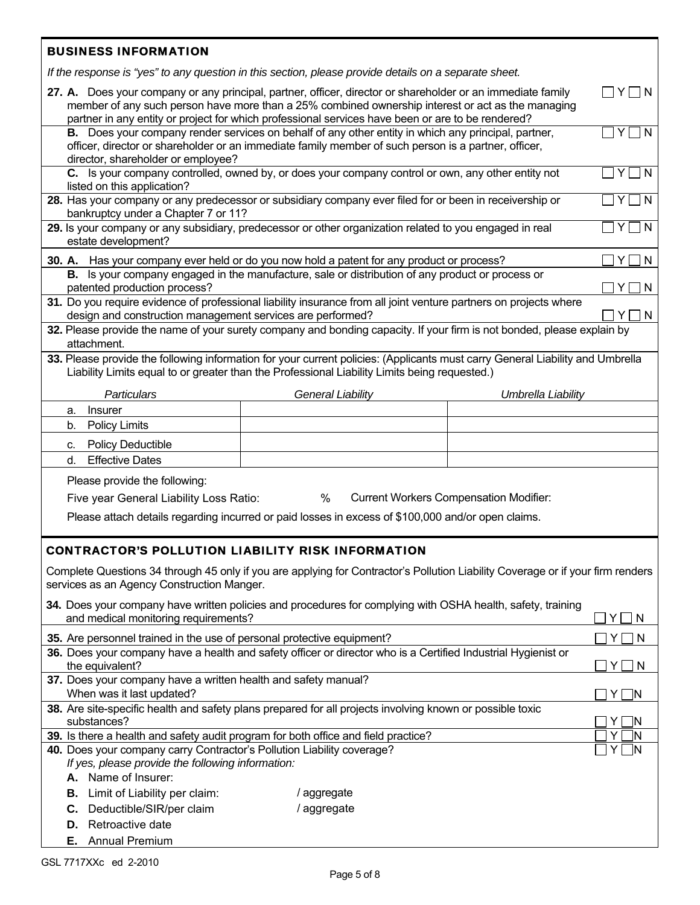|                                                                                                                                                                                                        | <b>BUSINESS INFORMATION</b>                                                                                                                                                                                                                                                                                                |                                                                                                                                                                                                                                |                    |              |  |  |  |  |
|--------------------------------------------------------------------------------------------------------------------------------------------------------------------------------------------------------|----------------------------------------------------------------------------------------------------------------------------------------------------------------------------------------------------------------------------------------------------------------------------------------------------------------------------|--------------------------------------------------------------------------------------------------------------------------------------------------------------------------------------------------------------------------------|--------------------|--------------|--|--|--|--|
|                                                                                                                                                                                                        |                                                                                                                                                                                                                                                                                                                            | If the response is "yes" to any question in this section, please provide details on a separate sheet.                                                                                                                          |                    |              |  |  |  |  |
|                                                                                                                                                                                                        | 27. A. Does your company or any principal, partner, officer, director or shareholder or an immediate family<br>Y<br>member of any such person have more than a 25% combined ownership interest or act as the managing<br>partner in any entity or project for which professional services have been or are to be rendered? |                                                                                                                                                                                                                                |                    |              |  |  |  |  |
|                                                                                                                                                                                                        | director, shareholder or employee?                                                                                                                                                                                                                                                                                         | B. Does your company render services on behalf of any other entity in which any principal, partner,<br>officer, director or shareholder or an immediate family member of such person is a partner, officer,                    |                    | N            |  |  |  |  |
|                                                                                                                                                                                                        | listed on this application?                                                                                                                                                                                                                                                                                                | C. Is your company controlled, owned by, or does your company control or own, any other entity not                                                                                                                             |                    | N<br>Y       |  |  |  |  |
|                                                                                                                                                                                                        | bankruptcy under a Chapter 7 or 11?                                                                                                                                                                                                                                                                                        | 28. Has your company or any predecessor or subsidiary company ever filed for or been in receivership or                                                                                                                        |                    | N<br>Y       |  |  |  |  |
|                                                                                                                                                                                                        | estate development?                                                                                                                                                                                                                                                                                                        | 29. Is your company or any subsidiary, predecessor or other organization related to you engaged in real                                                                                                                        |                    | ٦N<br>Y      |  |  |  |  |
|                                                                                                                                                                                                        |                                                                                                                                                                                                                                                                                                                            | 30. A. Has your company ever held or do you now hold a patent for any product or process?                                                                                                                                      |                    | N<br>Y       |  |  |  |  |
|                                                                                                                                                                                                        | patented production process?                                                                                                                                                                                                                                                                                               | B. Is your company engaged in the manufacture, sale or distribution of any product or process or                                                                                                                               |                    | N            |  |  |  |  |
|                                                                                                                                                                                                        | design and construction management services are performed?                                                                                                                                                                                                                                                                 | 31. Do you require evidence of professional liability insurance from all joint venture partners on projects where                                                                                                              |                    | $\mathsf{N}$ |  |  |  |  |
|                                                                                                                                                                                                        | attachment.                                                                                                                                                                                                                                                                                                                | 32. Please provide the name of your surety company and bonding capacity. If your firm is not bonded, please explain by                                                                                                         |                    |              |  |  |  |  |
|                                                                                                                                                                                                        |                                                                                                                                                                                                                                                                                                                            | 33. Please provide the following information for your current policies: (Applicants must carry General Liability and Umbrella<br>Liability Limits equal to or greater than the Professional Liability Limits being requested.) |                    |              |  |  |  |  |
|                                                                                                                                                                                                        | <b>Particulars</b>                                                                                                                                                                                                                                                                                                         | <b>General Liability</b>                                                                                                                                                                                                       | Umbrella Liability |              |  |  |  |  |
|                                                                                                                                                                                                        | <b>Insurer</b><br>a.                                                                                                                                                                                                                                                                                                       |                                                                                                                                                                                                                                |                    |              |  |  |  |  |
|                                                                                                                                                                                                        | <b>Policy Limits</b><br>b.                                                                                                                                                                                                                                                                                                 |                                                                                                                                                                                                                                |                    |              |  |  |  |  |
|                                                                                                                                                                                                        | <b>Policy Deductible</b><br>c.                                                                                                                                                                                                                                                                                             |                                                                                                                                                                                                                                |                    |              |  |  |  |  |
|                                                                                                                                                                                                        | <b>Effective Dates</b><br>d.                                                                                                                                                                                                                                                                                               |                                                                                                                                                                                                                                |                    |              |  |  |  |  |
|                                                                                                                                                                                                        |                                                                                                                                                                                                                                                                                                                            |                                                                                                                                                                                                                                |                    |              |  |  |  |  |
|                                                                                                                                                                                                        | Please provide the following:                                                                                                                                                                                                                                                                                              |                                                                                                                                                                                                                                |                    |              |  |  |  |  |
| <b>Current Workers Compensation Modifier:</b><br>$\%$<br>Five year General Liability Loss Ratio:<br>Please attach details regarding incurred or paid losses in excess of \$100,000 and/or open claims. |                                                                                                                                                                                                                                                                                                                            |                                                                                                                                                                                                                                |                    |              |  |  |  |  |
|                                                                                                                                                                                                        |                                                                                                                                                                                                                                                                                                                            |                                                                                                                                                                                                                                |                    |              |  |  |  |  |
|                                                                                                                                                                                                        |                                                                                                                                                                                                                                                                                                                            | <b>CONTRACTOR'S POLLUTION LIABILITY RISK INFORMATION</b>                                                                                                                                                                       |                    |              |  |  |  |  |
|                                                                                                                                                                                                        | services as an Agency Construction Manger.                                                                                                                                                                                                                                                                                 | Complete Questions 34 through 45 only if you are applying for Contractor's Pollution Liability Coverage or if your firm renders                                                                                                |                    |              |  |  |  |  |
|                                                                                                                                                                                                        | 34. Does your company have written policies and procedures for complying with OSHA health, safety, training<br>and medical monitoring requirements?<br>Y.<br>N                                                                                                                                                             |                                                                                                                                                                                                                                |                    |              |  |  |  |  |
|                                                                                                                                                                                                        | 35. Are personnel trained in the use of personal protective equipment?<br>Y.<br><sub>N</sub>                                                                                                                                                                                                                               |                                                                                                                                                                                                                                |                    |              |  |  |  |  |
|                                                                                                                                                                                                        | 36. Does your company have a health and safety officer or director who is a Certified Industrial Hygienist or<br>the equivalent?<br>$\Box$ N<br>ΥI                                                                                                                                                                         |                                                                                                                                                                                                                                |                    |              |  |  |  |  |
|                                                                                                                                                                                                        | 37. Does your company have a written health and safety manual?                                                                                                                                                                                                                                                             |                                                                                                                                                                                                                                |                    |              |  |  |  |  |
|                                                                                                                                                                                                        | When was it last updated?<br>-IN<br>ΥI<br>38. Are site-specific health and safety plans prepared for all projects involving known or possible toxic                                                                                                                                                                        |                                                                                                                                                                                                                                |                    |              |  |  |  |  |
|                                                                                                                                                                                                        | substances?                                                                                                                                                                                                                                                                                                                |                                                                                                                                                                                                                                |                    |              |  |  |  |  |
| 39. Is there a health and safety audit program for both office and field practice?                                                                                                                     |                                                                                                                                                                                                                                                                                                                            |                                                                                                                                                                                                                                |                    |              |  |  |  |  |
|                                                                                                                                                                                                        | 40. Does your company carry Contractor's Pollution Liability coverage?<br>If yes, please provide the following information:                                                                                                                                                                                                |                                                                                                                                                                                                                                |                    |              |  |  |  |  |

**A.** Name of Insurer:

- **B.** Limit of Liability per claim: */* aggregate<br> **C.** Deductible/SIR/per claim / aggregate **C.** Deductible/SIR/per claim
- **D.** Retroactive date
- **E.** Annual Premium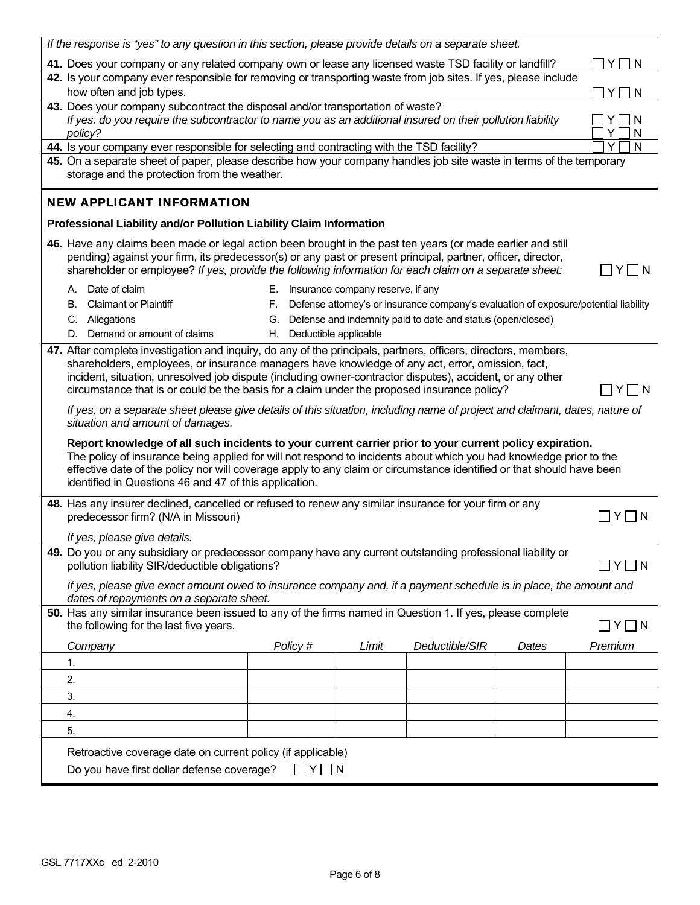| If the response is "yes" to any question in this section, please provide details on a separate sheet.                                                                                                                                                                                                                                                                                                                                  |                                                                                                                                                                                                                                                                                                                                       |    |                       |                                   |                                                                                      |       |             |
|----------------------------------------------------------------------------------------------------------------------------------------------------------------------------------------------------------------------------------------------------------------------------------------------------------------------------------------------------------------------------------------------------------------------------------------|---------------------------------------------------------------------------------------------------------------------------------------------------------------------------------------------------------------------------------------------------------------------------------------------------------------------------------------|----|-----------------------|-----------------------------------|--------------------------------------------------------------------------------------|-------|-------------|
| 41. Does your company or any related company own or lease any licensed waste TSD facility or landfill?<br>N<br>Y.                                                                                                                                                                                                                                                                                                                      |                                                                                                                                                                                                                                                                                                                                       |    |                       |                                   |                                                                                      |       |             |
| 42. Is your company ever responsible for removing or transporting waste from job sites. If yes, please include<br>how often and job types.<br>N<br>Y.                                                                                                                                                                                                                                                                                  |                                                                                                                                                                                                                                                                                                                                       |    |                       |                                   |                                                                                      |       |             |
|                                                                                                                                                                                                                                                                                                                                                                                                                                        |                                                                                                                                                                                                                                                                                                                                       |    |                       |                                   |                                                                                      |       |             |
| 43. Does your company subcontract the disposal and/or transportation of waste?<br>If yes, do you require the subcontractor to name you as an additional insured on their pollution liability<br>N<br>policy?<br>N<br>Y.                                                                                                                                                                                                                |                                                                                                                                                                                                                                                                                                                                       |    |                       |                                   |                                                                                      |       |             |
|                                                                                                                                                                                                                                                                                                                                                                                                                                        | 44. Is your company ever responsible for selecting and contracting with the TSD facility?                                                                                                                                                                                                                                             |    |                       |                                   |                                                                                      |       | Y<br>N      |
|                                                                                                                                                                                                                                                                                                                                                                                                                                        | 45. On a separate sheet of paper, please describe how your company handles job site waste in terms of the temporary<br>storage and the protection from the weather.                                                                                                                                                                   |    |                       |                                   |                                                                                      |       |             |
|                                                                                                                                                                                                                                                                                                                                                                                                                                        | <b>NEW APPLICANT INFORMATION</b>                                                                                                                                                                                                                                                                                                      |    |                       |                                   |                                                                                      |       |             |
|                                                                                                                                                                                                                                                                                                                                                                                                                                        | Professional Liability and/or Pollution Liability Claim Information                                                                                                                                                                                                                                                                   |    |                       |                                   |                                                                                      |       |             |
|                                                                                                                                                                                                                                                                                                                                                                                                                                        | 46. Have any claims been made or legal action been brought in the past ten years (or made earlier and still<br>pending) against your firm, its predecessor(s) or any past or present principal, partner, officer, director,<br>shareholder or employee? If yes, provide the following information for each claim on a separate sheet: |    |                       |                                   |                                                                                      |       | Y.<br>- I N |
| А.                                                                                                                                                                                                                                                                                                                                                                                                                                     | Date of claim                                                                                                                                                                                                                                                                                                                         | Е. |                       | Insurance company reserve, if any |                                                                                      |       |             |
| В.                                                                                                                                                                                                                                                                                                                                                                                                                                     | <b>Claimant or Plaintiff</b>                                                                                                                                                                                                                                                                                                          |    |                       |                                   | Defense attorney's or insurance company's evaluation of exposure/potential liability |       |             |
|                                                                                                                                                                                                                                                                                                                                                                                                                                        | C. Allegations                                                                                                                                                                                                                                                                                                                        | G. |                       |                                   | Defense and indemnity paid to date and status (open/closed)                          |       |             |
|                                                                                                                                                                                                                                                                                                                                                                                                                                        | D. Demand or amount of claims                                                                                                                                                                                                                                                                                                         | Н. | Deductible applicable |                                   |                                                                                      |       |             |
| 47. After complete investigation and inquiry, do any of the principals, partners, officers, directors, members,<br>shareholders, employees, or insurance managers have knowledge of any act, error, omission, fact,<br>incident, situation, unresolved job dispute (including owner-contractor disputes), accident, or any other<br>circumstance that is or could be the basis for a claim under the proposed insurance policy?<br>1 N |                                                                                                                                                                                                                                                                                                                                       |    |                       |                                   |                                                                                      |       |             |
| If yes, on a separate sheet please give details of this situation, including name of project and claimant, dates, nature of<br>situation and amount of damages.                                                                                                                                                                                                                                                                        |                                                                                                                                                                                                                                                                                                                                       |    |                       |                                   |                                                                                      |       |             |
| Report knowledge of all such incidents to your current carrier prior to your current policy expiration.<br>The policy of insurance being applied for will not respond to incidents about which you had knowledge prior to the<br>effective date of the policy nor will coverage apply to any claim or circumstance identified or that should have been<br>identified in Questions 46 and 47 of this application.                       |                                                                                                                                                                                                                                                                                                                                       |    |                       |                                   |                                                                                      |       |             |
| 48. Has any insurer declined, cancelled or refused to renew any similar insurance for your firm or any<br>predecessor firm? (N/A in Missouri)<br>If yes, please give details.                                                                                                                                                                                                                                                          |                                                                                                                                                                                                                                                                                                                                       |    |                       |                                   |                                                                                      |       |             |
|                                                                                                                                                                                                                                                                                                                                                                                                                                        | 49. Do you or any subsidiary or predecessor company have any current outstanding professional liability or                                                                                                                                                                                                                            |    |                       |                                   |                                                                                      |       |             |
| pollution liability SIR/deductible obligations?<br>∏Y∏N                                                                                                                                                                                                                                                                                                                                                                                |                                                                                                                                                                                                                                                                                                                                       |    |                       |                                   |                                                                                      |       |             |
| If yes, please give exact amount owed to insurance company and, if a payment schedule is in place, the amount and<br>dates of repayments on a separate sheet.                                                                                                                                                                                                                                                                          |                                                                                                                                                                                                                                                                                                                                       |    |                       |                                   |                                                                                      |       |             |
| 50. Has any similar insurance been issued to any of the firms named in Question 1. If yes, please complete<br>the following for the last five years.<br>$\Box$ Y $\Box$ N                                                                                                                                                                                                                                                              |                                                                                                                                                                                                                                                                                                                                       |    |                       |                                   |                                                                                      |       |             |
|                                                                                                                                                                                                                                                                                                                                                                                                                                        | Company                                                                                                                                                                                                                                                                                                                               |    | Policy #              | Limit                             | Deductible/SIR                                                                       | Dates | Premium     |
| 1.                                                                                                                                                                                                                                                                                                                                                                                                                                     |                                                                                                                                                                                                                                                                                                                                       |    |                       |                                   |                                                                                      |       |             |
| 2.                                                                                                                                                                                                                                                                                                                                                                                                                                     |                                                                                                                                                                                                                                                                                                                                       |    |                       |                                   |                                                                                      |       |             |
| 3.                                                                                                                                                                                                                                                                                                                                                                                                                                     |                                                                                                                                                                                                                                                                                                                                       |    |                       |                                   |                                                                                      |       |             |
| 4.                                                                                                                                                                                                                                                                                                                                                                                                                                     |                                                                                                                                                                                                                                                                                                                                       |    |                       |                                   |                                                                                      |       |             |
| 5.                                                                                                                                                                                                                                                                                                                                                                                                                                     |                                                                                                                                                                                                                                                                                                                                       |    |                       |                                   |                                                                                      |       |             |
| Retroactive coverage date on current policy (if applicable)                                                                                                                                                                                                                                                                                                                                                                            |                                                                                                                                                                                                                                                                                                                                       |    |                       |                                   |                                                                                      |       |             |
| Do you have first dollar defense coverage?<br>$\Box$ $Y$ $\Box$ N                                                                                                                                                                                                                                                                                                                                                                      |                                                                                                                                                                                                                                                                                                                                       |    |                       |                                   |                                                                                      |       |             |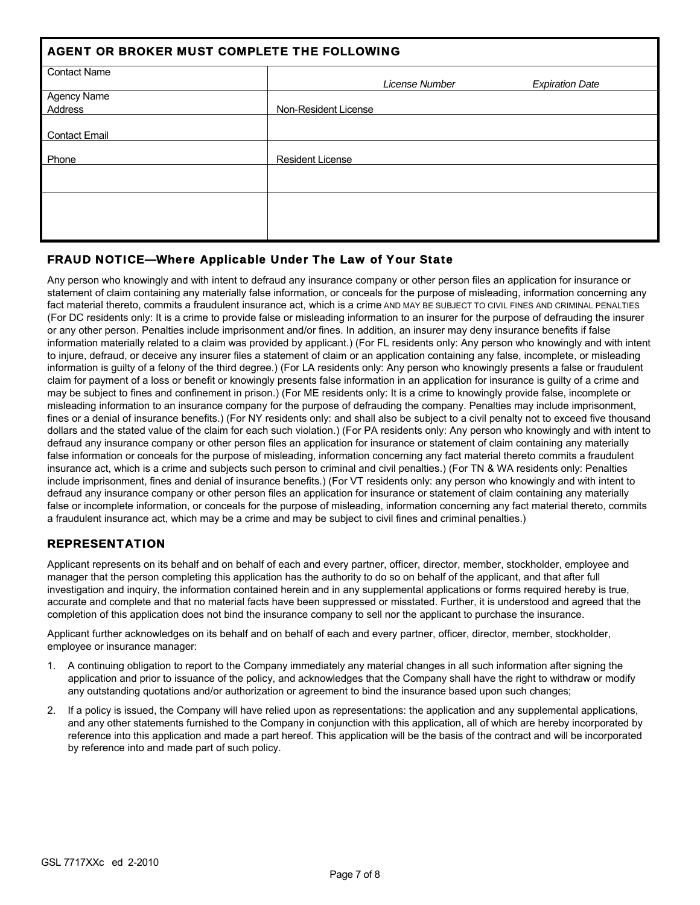| AGENT OR BROKER MUST COMPLETE THE FOLLOWING |                         |                        |  |  |  |  |  |
|---------------------------------------------|-------------------------|------------------------|--|--|--|--|--|
| <b>Contact Name</b>                         | License Number          | <b>Expiration Date</b> |  |  |  |  |  |
| Agency Name                                 |                         |                        |  |  |  |  |  |
| Address                                     | Non-Resident License    |                        |  |  |  |  |  |
| <b>Contact Email</b>                        |                         |                        |  |  |  |  |  |
| Phone                                       | <b>Resident License</b> |                        |  |  |  |  |  |
|                                             |                         |                        |  |  |  |  |  |
|                                             |                         |                        |  |  |  |  |  |
|                                             |                         |                        |  |  |  |  |  |

## FRAUD NOTICE—Where Applicable Under The Law of Your State

Any person who knowingly and with intent to defraud any insurance company or other person files an application for insurance or statement of claim containing any materially false information, or conceals for the purpose of misleading, information concerning any fact material thereto, commits a fraudulent insurance act, which is a crime AND MAY BE SUBJECT TO CIVIL FINES AND CRIMINAL PENALTIES (For DC residents only: It is a crime to provide false or misleading information to an insurer for the purpose of defrauding the insurer or any other person. Penalties include imprisonment and/or fines. In addition, an insurer may deny insurance benefits if false information materially related to a claim was provided by applicant.) (For FL residents only: Any person who knowingly and with intent to injure, defraud, or deceive any insurer files a statement of claim or an application containing any false, incomplete, or misleading information is guilty of a felony of the third degree.) (For LA residents only: Any person who knowingly presents a false or fraudulent claim for payment of a loss or benefit or knowingly presents false information in an application for insurance is guilty of a crime and may be subject to fines and confinement in prison.) (For ME residents only: It is a crime to knowingly provide false, incomplete or misleading information to an insurance company for the purpose of defrauding the company. Penalties may include imprisonment, fines or a denial of insurance benefits.) (For NY residents only: and shall also be subject to a civil penalty not to exceed five thousand dollars and the stated value of the claim for each such violation.) (For PA residents only: Any person who knowingly and with intent to defraud any insurance company or other person files an application for insurance or statement of claim containing any materially false information or conceals for the purpose of misleading, information concerning any fact material thereto commits a fraudulent insurance act, which is a crime and subjects such person to criminal and civil penalties.) (For TN & WA residents only: Penalties include imprisonment, fines and denial of insurance benefits.) (For VT residents only: any person who knowingly and with intent to defraud any insurance company or other person files an application for insurance or statement of claim containing any materially false or incomplete information, or conceals for the purpose of misleading, information concerning any fact material thereto, commits a fraudulent insurance act, which may be a crime and may be subject to civil fines and criminal penalties.)

## REPRESENTATION

Applicant represents on its behalf and on behalf of each and every partner, officer, director, member, stockholder, employee and manager that the person completing this application has the authority to do so on behalf of the applicant, and that after full investigation and inquiry, the information contained herein and in any supplemental applications or forms required hereby is true, accurate and complete and that no material facts have been suppressed or misstated. Further, it is understood and agreed that the completion of this application does not bind the insurance company to sell nor the applicant to purchase the insurance.

Applicant further acknowledges on its behalf and on behalf of each and every partner, officer, director, member, stockholder, employee or insurance manager:

- 1. A continuing obligation to report to the Company immediately any material changes in all such information after signing the application and prior to issuance of the policy, and acknowledges that the Company shall have the right to withdraw or modify any outstanding quotations and/or authorization or agreement to bind the insurance based upon such changes;
- 2. If a policy is issued, the Company will have relied upon as representations: the application and any supplemental applications, and any other statements furnished to the Company in conjunction with this application, all of which are hereby incorporated by reference into this application and made a part hereof. This application will be the basis of the contract and will be incorporated by reference into and made part of such policy.